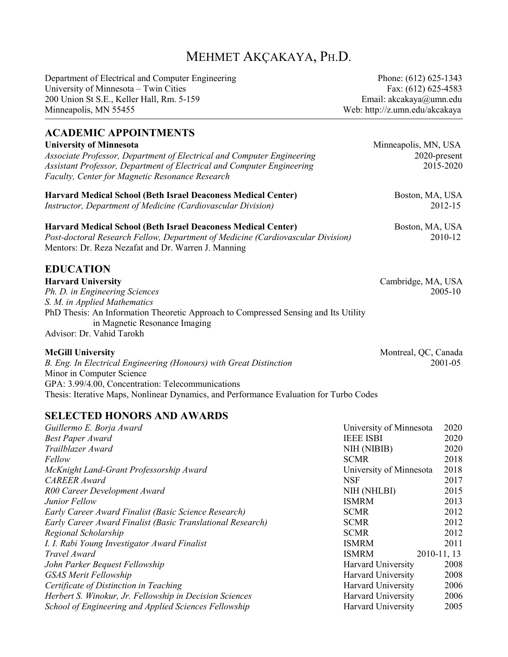# MEHMET AKÇAKAYA, PH.D.

Department of Electrical and Computer Engineering Phone: (612) 625-1343 University of Minnesota – Twin Cities Fax: (612) 625-4583 200 Union St S.E., Keller Hall, Rm. 5-159 Email: akcakaya@umn.edu Minneapolis, MN 55455 Web: http://z.umn.edu/akcakaya

# **ACADEMIC APPOINTMENTS University of Minnesota** Minneapolis, MN, USA *Associate Professor, Department of Electrical and Computer Engineering* 2020-present *Assistant Professor, Department of Electrical and Computer Engineering* 2015-2020 *Faculty, Center for Magnetic Resonance Research* **Harvard Medical School (Beth Israel Deaconess Medical Center)** Boston, MA, USA *Instructor, Department of Medicine (Cardiovascular Division)* 2012-15 **Harvard Medical School (Beth Israel Deaconess Medical Center)** Boston, MA, USA *Post-doctoral Research Fellow, Department of Medicine (Cardiovascular Division)* 2010-12 Mentors: Dr. Reza Nezafat and Dr. Warren J. Manning **EDUCATION Harvard University** Cambridge, MA, USA *Ph. D. in Engineering Sciences* 2005-10 *S. M. in Applied Mathematics* PhD Thesis: An Information Theoretic Approach to Compressed Sensing and Its Utility in Magnetic Resonance Imaging Advisor: Dr. Vahid Tarokh **McGill University** Montreal, QC, Canada *B. Eng. In Electrical Engineering (Honours) with Great Distinction* 2001-05 Minor in Computer Science

GPA: 3.99/4.00, Concentration: Telecommunications

Thesis: Iterative Maps, Nonlinear Dynamics, and Performance Evaluation for Turbo Codes

### **SELECTED HONORS AND AWARDS**

| Guillermo E. Borja Award                                   | University of Minnesota   | 2020        |
|------------------------------------------------------------|---------------------------|-------------|
| <b>Best Paper Award</b>                                    | <b>IEEE ISBI</b>          | 2020        |
| Trailblazer Award                                          | NIH (NIBIB)               | 2020        |
| Fellow                                                     | <b>SCMR</b>               | 2018        |
| McKnight Land-Grant Professorship Award                    | University of Minnesota   | 2018        |
| <b>CAREER</b> Award                                        | <b>NSF</b>                | 2017        |
| R00 Career Development Award                               | NIH (NHLBI)               | 2015        |
| Junior Fellow                                              | <b>ISMRM</b>              | 2013        |
| Early Career Award Finalist (Basic Science Research)       | <b>SCMR</b>               | 2012        |
| Early Career Award Finalist (Basic Translational Research) | <b>SCMR</b>               | 2012        |
| Regional Scholarship                                       | <b>SCMR</b>               | 2012        |
| I. I. Rabi Young Investigator Award Finalist               | <b>ISMRM</b>              | 2011        |
| Travel Award                                               | <b>ISMRM</b>              | 2010-11, 13 |
| John Parker Bequest Fellowship                             | <b>Harvard University</b> | 2008        |
| <b>GSAS Merit Fellowship</b>                               | Harvard University        | 2008        |
| Certificate of Distinction in Teaching                     | <b>Harvard University</b> | 2006        |
| Herbert S. Winokur, Jr. Fellowship in Decision Sciences    | <b>Harvard University</b> | 2006        |
| School of Engineering and Applied Sciences Fellowship      | <b>Harvard University</b> | 2005        |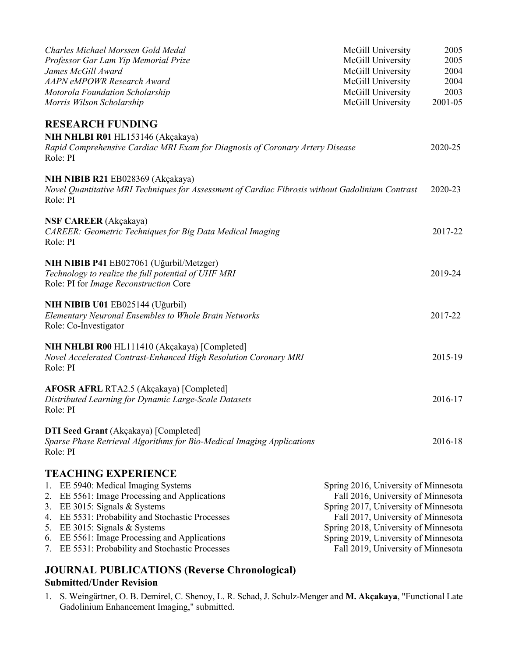| Charles Michael Morssen Gold Medal<br>Professor Gar Lam Yip Memorial Prize<br>James McGill Award                                                                                                                                                                                                                                                 | McGill University<br>McGill University<br>McGill University                                                                                                                                                                                                                    | 2005<br>2005<br>2004    |
|--------------------------------------------------------------------------------------------------------------------------------------------------------------------------------------------------------------------------------------------------------------------------------------------------------------------------------------------------|--------------------------------------------------------------------------------------------------------------------------------------------------------------------------------------------------------------------------------------------------------------------------------|-------------------------|
| <b>AAPN</b> eMPOWR Research Award<br>Motorola Foundation Scholarship<br>Morris Wilson Scholarship                                                                                                                                                                                                                                                | McGill University<br>McGill University<br>McGill University                                                                                                                                                                                                                    | 2004<br>2003<br>2001-05 |
| <b>RESEARCH FUNDING</b><br>NIH NHLBI R01 HL153146 (Akçakaya)<br>Rapid Comprehensive Cardiac MRI Exam for Diagnosis of Coronary Artery Disease<br>Role: PI                                                                                                                                                                                        |                                                                                                                                                                                                                                                                                | 2020-25                 |
| NIH NIBIB R21 EB028369 (Akçakaya)<br>Novel Quantitative MRI Techniques for Assessment of Cardiac Fibrosis without Gadolinium Contrast<br>Role: PI                                                                                                                                                                                                |                                                                                                                                                                                                                                                                                | 2020-23                 |
| <b>NSF CAREER</b> (Akçakaya)<br>CAREER: Geometric Techniques for Big Data Medical Imaging<br>Role: PI                                                                                                                                                                                                                                            |                                                                                                                                                                                                                                                                                | 2017-22                 |
| NIH NIBIB P41 EB027061 (Uğurbil/Metzger)<br>Technology to realize the full potential of UHF MRI<br>Role: PI for Image Reconstruction Core                                                                                                                                                                                                        |                                                                                                                                                                                                                                                                                | 2019-24                 |
| NIH NIBIB U01 EB025144 (Uğurbil)<br>Elementary Neuronal Ensembles to Whole Brain Networks<br>Role: Co-Investigator                                                                                                                                                                                                                               |                                                                                                                                                                                                                                                                                | 2017-22                 |
| NIH NHLBI R00 HL111410 (Akçakaya) [Completed]<br>Novel Accelerated Contrast-Enhanced High Resolution Coronary MRI<br>Role: PI                                                                                                                                                                                                                    |                                                                                                                                                                                                                                                                                | 2015-19                 |
| AFOSR AFRL RTA2.5 (Akçakaya) [Completed]<br>Distributed Learning for Dynamic Large-Scale Datasets<br>Role: PI                                                                                                                                                                                                                                    |                                                                                                                                                                                                                                                                                | 2016-17                 |
| <b>DTI Seed Grant</b> (Akçakaya) [Completed]<br>Sparse Phase Retrieval Algorithms for Bio-Medical Imaging Applications<br>Role: PI                                                                                                                                                                                                               |                                                                                                                                                                                                                                                                                | 2016-18                 |
| <b>TEACHING EXPERIENCE</b><br>EE 5940: Medical Imaging Systems<br>1.<br>2. EE 5561: Image Processing and Applications<br>3. EE 3015: Signals & Systems<br>4. EE 5531: Probability and Stochastic Processes<br>5. EE 3015: Signals & Systems<br>6. EE 5561: Image Processing and Applications<br>7. EE 5531: Probability and Stochastic Processes | Spring 2016, University of Minnesota<br>Fall 2016, University of Minnesota<br>Spring 2017, University of Minnesota<br>Fall 2017, University of Minnesota<br>Spring 2018, University of Minnesota<br>Spring 2019, University of Minnesota<br>Fall 2019, University of Minnesota |                         |
| <b>JOURNAL PUBLICATIONS (Reverse Chronological)</b>                                                                                                                                                                                                                                                                                              |                                                                                                                                                                                                                                                                                |                         |

# **Submitted/Under Revision**

1. S. Weingärtner, O. B. Demirel, C. Shenoy, L. R. Schad, J. Schulz-Menger and **M. Akçakaya**, "Functional Late Gadolinium Enhancement Imaging," submitted.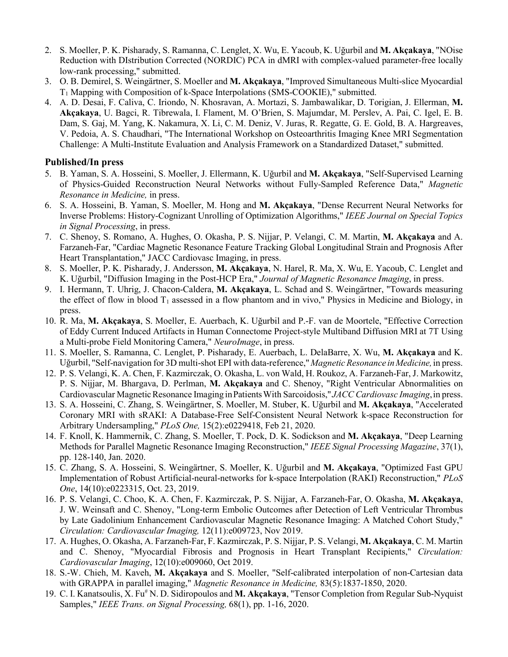- 2. S. Moeller, P. K. Pisharady, S. Ramanna, C. Lenglet, X. Wu, E. Yacoub, K. Uğurbil and **M. Akçakaya**, "NOise Reduction with DIstribution Corrected (NORDIC) PCA in dMRI with complex-valued parameter-free locally low-rank processing," submitted.
- 3. O. B. Demirel, S. Weingärtner, S. Moeller and **M. Akçakaya**, "Improved Simultaneous Multi-slice Myocardial T1 Mapping with Composition of k-Space Interpolations (SMS-COOKIE)," submitted.
- 4. A. D. Desai, F. Caliva, C. Iriondo, N. Khosravan, A. Mortazi, S. Jambawalikar, D. Torigian, J. Ellerman, **M. Akçakaya**, U. Bagci, R. Tibrewala, I. Flament, M. O'Brien, S. Majumdar, M. Perslev, A. Pai, C. Igel, E. B. Dam, S. Gaj, M. Yang, K. Nakamura, X. Li, C. M. Deniz, V. Juras, R. Regatte, G. E. Gold, B. A. Hargreaves, V. Pedoia, A. S. Chaudhari, "The International Workshop on Osteoarthritis Imaging Knee MRI Segmentation Challenge: A Multi-Institute Evaluation and Analysis Framework on a Standardized Dataset," submitted.

### **Published/In press**

- 5. B. Yaman, S. A. Hosseini, S. Moeller, J. Ellermann, K. Uğurbil and **M. Akçakaya**, "Self-Supervised Learning of Physics-Guided Reconstruction Neural Networks without Fully-Sampled Reference Data," *Magnetic Resonance in Medicine,* in press.
- 6. S. A. Hosseini, B. Yaman, S. Moeller, M. Hong and **M. Akçakaya**, "Dense Recurrent Neural Networks for Inverse Problems: History-Cognizant Unrolling of Optimization Algorithms," *IEEE Journal on Special Topics in Signal Processing*, in press.
- 7. C. Shenoy, S. Romano, A. Hughes, O. Okasha, P. S. Nijjar, P. Velangi, C. M. Martin, **M. Akçakaya** and A. Farzaneh-Far, "Cardiac Magnetic Resonance Feature Tracking Global Longitudinal Strain and Prognosis After Heart Transplantation," JACC Cardiovasc Imaging, in press.
- 8. S. Moeller, P. K. Pisharady, J. Andersson, **M. Akçakaya**, N. Harel, R. Ma, X. Wu, E. Yacoub, C. Lenglet and K. Uğurbil, "Diffusion Imaging in the Post-HCP Era," *Journal of Magnetic Resonance Imaging*, in press.
- 9. I. Hermann, T. Uhrig, J. Chacon-Caldera, **M. Akçakaya**, L. Schad and S. Weingärtner, "Towards measuring the effect of flow in blood  $T_1$  assessed in a flow phantom and in vivo," Physics in Medicine and Biology, in press.
- 10. R. Ma, **M. Akçakaya**, S. Moeller, E. Auerbach, K. Uğurbil and P.-F. van de Moortele, "Effective Correction of Eddy Current Induced Artifacts in Human Connectome Project-style Multiband Diffusion MRI at 7T Using a Multi-probe Field Monitoring Camera," *NeuroImage*, in press.
- 11. S. Moeller, S. Ramanna, C. Lenglet, P. Pisharady, E. Auerbach, L. DelaBarre, X. Wu, **M. Akçakaya** and K. Uğurbil, "Self-navigation for 3D multi-shot EPI with data-reference,"*Magnetic Resonance inMedicine,*in press.
- 12. P. S. Velangi, K. A. Chen, F. Kazmirczak, O. Okasha, L. von Wald, H. Roukoz, A. Farzaneh-Far, J. Markowitz, P. S. Nijjar, M. Bhargava, D. Perlman, **M. Akçakaya** and C. Shenoy, "Right Ventricular Abnormalities on Cardiovascular MagneticResonance Imaging inPatientsWith Sarcoidosis,"*JACC Cardiovasc Imaging*,in press.
- 13. S. A. Hosseini, C. Zhang, S. Weingärtner, S. Moeller, M. Stuber, K. Uğurbil and **M. Akçakaya**, "Accelerated Coronary MRI with sRAKI: A Database-Free Self-Consistent Neural Network k-space Reconstruction for Arbitrary Undersampling," *PLoS One,* 15(2):e0229418, Feb 21, 2020.
- 14. F. Knoll, K. Hammernik, C. Zhang, S. Moeller, T. Pock, D. K. Sodickson and **M. Akçakaya**, "Deep Learning Methods for Parallel Magnetic Resonance Imaging Reconstruction," *IEEE Signal Processing Magazine*, 37(1), pp. 128-140, Jan. 2020.
- 15. C. Zhang, S. A. Hosseini, S. Weingärtner, S. Moeller, K. Uğurbil and **M. Akçakaya**, "Optimized Fast GPU Implementation of Robust Artificial-neural-networks for k-space Interpolation (RAKI) Reconstruction," *PLoS One*, 14(10):e0223315, Oct. 23, 2019.
- 16. P. S. Velangi, C. Choo, K. A. Chen, F. Kazmirczak, P. S. Nijjar, A. Farzaneh-Far, O. Okasha, **M. Akçakaya**, J. W. Weinsaft and C. Shenoy, "Long-term Embolic Outcomes after Detection of Left Ventricular Thrombus by Late Gadolinium Enhancement Cardiovascular Magnetic Resonance Imaging: A Matched Cohort Study," *Circulation: Cardiovascular Imaging,* 12(11):e009723, Nov 2019.
- 17. A. Hughes, O. Okasha, A. Farzaneh-Far, F. Kazmirczak, P. S. Nijjar, P. S. Velangi, **M. Akçakaya**, C. M. Martin and C. Shenoy, "Myocardial Fibrosis and Prognosis in Heart Transplant Recipients," *Circulation: Cardiovascular Imaging*, 12(10):e009060, Oct 2019.
- 18. S.-W. Chieh, M. Kaveh, **M. Akçakaya** and S. Moeller, "Self-calibrated interpolation of non-Cartesian data with GRAPPA in parallel imaging," *Magnetic Resonance in Medicine,* 83(5):1837-1850, 2020.
- 19. C. I. Kanatsoulis, X. Fu# N. D. Sidiropoulos and **M. Akçakaya**, "Tensor Completion from Regular Sub-Nyquist Samples," *IEEE Trans. on Signal Processing,* 68(1), pp. 1-16, 2020.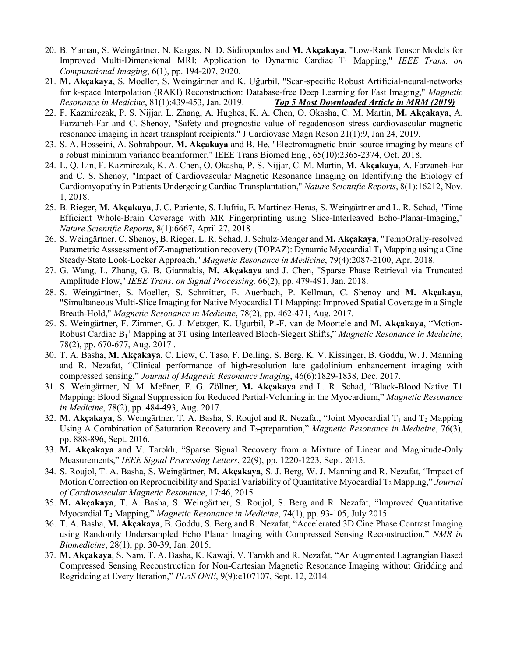- 20. B. Yaman, S. Weingärtner, N. Kargas, N. D. Sidiropoulos and **M. Akçakaya**, "Low-Rank Tensor Models for Improved Multi-Dimensional MRI: Application to Dynamic Cardiac T<sub>1</sub> Mapping," *IEEE Trans. on Computational Imaging*, 6(1), pp. 194-207, 2020.
- 21. **M. Akçakaya**, S. Moeller, S. Weingärtner and K. Uğurbil, "Scan-specific Robust Artificial-neural-networks for k-space Interpolation (RAKI) Reconstruction: Database-free Deep Learning for Fast Imaging," *Magnetic Resonance in Medicine*, 81(1):439-453, Jan. 2019. *Top 5 Most Downloaded Article in MRM (2019)*
- 22. F. Kazmirczak, P. S. Nijjar, L. Zhang, A. Hughes, K. A. Chen, O. Okasha, C. M. Martin, **M. Akçakaya**, A. Farzaneh-Far and C. Shenoy, "Safety and prognostic value of regadenoson stress cardiovascular magnetic resonance imaging in heart transplant recipients," J Cardiovasc Magn Reson 21(1):9, Jan 24, 2019.
- 23. S. A. Hosseini, A. Sohrabpour, **M. Akçakaya** and B. He, "Electromagnetic brain source imaging by means of a robust minimum variance beamformer," IEEE Trans Biomed Eng., 65(10):2365-2374, Oct. 2018.
- 24. L. Q. Lin, F. Kazmirczak, K. A. Chen, O. Okasha, P. S. Nijjar, C. M. Martin, **M. Akçakaya**, A. Farzaneh-Far and C. S. Shenoy, "Impact of Cardiovascular Magnetic Resonance Imaging on Identifying the Etiology of Cardiomyopathy in Patients Undergoing Cardiac Transplantation," *Nature Scientific Reports*, 8(1):16212, Nov. 1, 2018.
- 25. B. Rieger, **M. Akçakaya**, J. C. Pariente, S. Llufriu, E. Martinez-Heras, S. Weingärtner and L. R. Schad, "Time Efficient Whole-Brain Coverage with MR Fingerprinting using Slice-Interleaved Echo-Planar-Imaging," *Nature Scientific Reports*, 8(1):6667, April 27, 2018 .
- 26. S. Weingärtner, C. Shenoy, B. Rieger, L. R. Schad, J. Schulz-Menger and **M. Akçakaya**, "TempOrally-resolved Parametric Asssessment of Z-magnetization recovery (TOPAZ): Dynamic Myocardial  $T_1$  Mapping using a Cine Steady-State Look-Locker Approach," *Magnetic Resonance in Medicine*, 79(4):2087-2100, Apr. 2018.
- 27. G. Wang, L. Zhang, G. B. Giannakis, **M. Akçakaya** and J. Chen, "Sparse Phase Retrieval via Truncated Amplitude Flow," *IEEE Trans. on Signal Processing,* 66(2), pp. 479-491, Jan. 2018.
- 28. S. Weingärtner, S. Moeller, S. Schmitter, E. Auerbach, P. Kellman, C. Shenoy and **M. Akçakaya**, "Simultaneous Multi-Slice Imaging for Native Myocardial T1 Mapping: Improved Spatial Coverage in a Single Breath-Hold," *Magnetic Resonance in Medicine*, 78(2), pp. 462-471, Aug. 2017.
- 29. S. Weingärtner, F. Zimmer, G. J. Metzger, K. Uğurbil, P.-F. van de Moortele and **M. Akçakaya**, "Motion-Robust Cardiac B1 <sup>+</sup> Mapping at 3T using Interleaved Bloch-Siegert Shifts," *Magnetic Resonance in Medicine*, 78(2), pp. 670-677, Aug. 2017 .
- 30. T. A. Basha, **M. Akçakaya**, C. Liew, C. Taso, F. Delling, S. Berg, K. V. Kissinger, B. Goddu, W. J. Manning and R. Nezafat, "Clinical performance of high-resolution late gadolinium enhancement imaging with compressed sensing," *Journal of Magnetic Resonance Imaging*, 46(6):1829-1838, Dec. 2017.
- 31. S. Weingärtner, N. M. Meßner, F. G. Zöllner, **M. Akçakaya** and L. R. Schad, "Black-Blood Native T1 Mapping: Blood Signal Suppression for Reduced Partial-Voluming in the Myocardium," *Magnetic Resonance in Medicine*, 78(2), pp. 484-493, Aug. 2017.
- 32. **M. Akçakaya**, S. Weingärtner, T. A. Basha, S. Roujol and R. Nezafat, "Joint Myocardial  $T_1$  and  $T_2$  Mapping Using A Combination of Saturation Recovery and T2-preparation," *Magnetic Resonance in Medicine*, 76(3), pp. 888-896, Sept. 2016.
- 33. **M. Akçakaya** and V. Tarokh, "Sparse Signal Recovery from a Mixture of Linear and Magnitude-Only Measurements," *IEEE Signal Processing Letters*, 22(9), pp. 1220-1223, Sept. 2015.
- 34. S. Roujol, T. A. Basha, S. Weingärtner, **M. Akçakaya**, S. J. Berg, W. J. Manning and R. Nezafat, "Impact of Motion Correction on Reproducibility and Spatial Variability of Quantitative Myocardial T2 Mapping," *Journal of Cardiovascular Magnetic Resonance*, 17:46, 2015.
- 35. **M. Akçakaya**, T. A. Basha, S. Weingärtner, S. Roujol, S. Berg and R. Nezafat, "Improved Quantitative Myocardial T2 Mapping," *Magnetic Resonance in Medicine*, 74(1), pp. 93-105, July 2015.
- 36. T. A. Basha, **M. Akçakaya**, B. Goddu, S. Berg and R. Nezafat, "Accelerated 3D Cine Phase Contrast Imaging using Randomly Undersampled Echo Planar Imaging with Compressed Sensing Reconstruction," *NMR in Biomedicine*, 28(1), pp. 30-39, Jan. 2015.
- 37. **M. Akçakaya**, S. Nam, T. A. Basha, K. Kawaji, V. Tarokh and R. Nezafat, "An Augmented Lagrangian Based Compressed Sensing Reconstruction for Non-Cartesian Magnetic Resonance Imaging without Gridding and Regridding at Every Iteration," *PLoS ONE*, 9(9):e107107, Sept. 12, 2014.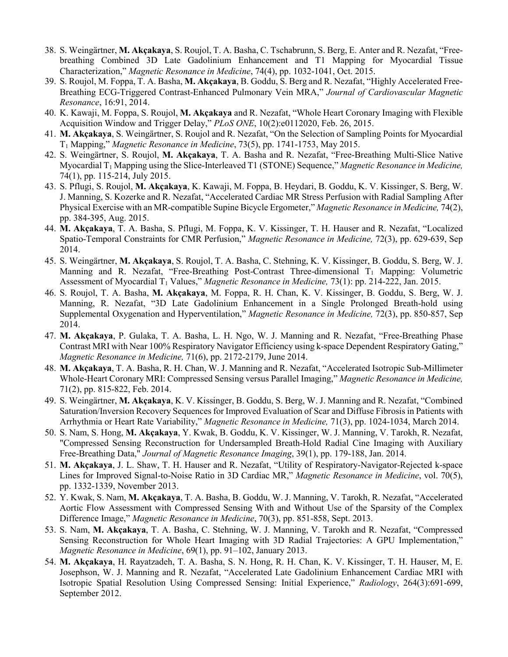- 38. S. Weingärtner, **M. Akçakaya**, S. Roujol, T. A. Basha, C. Tschabrunn, S. Berg, E. Anter and R. Nezafat, "Freebreathing Combined 3D Late Gadolinium Enhancement and T1 Mapping for Myocardial Tissue Characterization," *Magnetic Resonance in Medicine*, 74(4), pp. 1032-1041, Oct. 2015.
- 39. S. Roujol, M. Foppa, T. A. Basha, **M. Akçakaya**, B. Goddu, S. Berg and R. Nezafat, "Highly Accelerated Free-Breathing ECG-Triggered Contrast-Enhanced Pulmonary Vein MRA," *Journal of Cardiovascular Magnetic Resonance*, 16:91, 2014.
- 40. K. Kawaji, M. Foppa, S. Roujol, **M. Akçakaya** and R. Nezafat, "Whole Heart Coronary Imaging with Flexible Acquisition Window and Trigger Delay," *PLoS ONE*, 10(2):e0112020, Feb. 26, 2015.
- 41. **M. Akçakaya**, S. Weingärtner, S. Roujol and R. Nezafat, "On the Selection of Sampling Points for Myocardial T1 Mapping," *Magnetic Resonance in Medicine*, 73(5), pp. 1741-1753, May 2015.
- 42. S. Weingärtner, S. Roujol, **M. Akçakaya**, T. A. Basha and R. Nezafat, "Free-Breathing Multi-Slice Native Myocardial T1 Mapping using the Slice-Interleaved T1 (STONE) Sequence," *Magnetic Resonance in Medicine,*  74(1), pp. 115-214, July 2015.
- 43. S. Pflugi, S. Roujol, **M. Akçakaya**, K. Kawaji, M. Foppa, B. Heydari, B. Goddu, K. V. Kissinger, S. Berg, W. J. Manning, S. Kozerke and R. Nezafat, "Accelerated Cardiac MR Stress Perfusion with Radial Sampling After Physical Exercise with an MR-compatible Supine Bicycle Ergometer," *Magnetic Resonance in Medicine,* 74(2), pp. 384-395, Aug. 2015.
- 44. **M. Akçakaya**, T. A. Basha, S. Pflugi, M. Foppa, K. V. Kissinger, T. H. Hauser and R. Nezafat, "Localized Spatio-Temporal Constraints for CMR Perfusion," *Magnetic Resonance in Medicine,* 72(3), pp. 629-639, Sep 2014.
- 45. S. Weingärtner, **M. Akçakaya**, S. Roujol, T. A. Basha, C. Stehning, K. V. Kissinger, B. Goddu, S. Berg, W. J. Manning and R. Nezafat, "Free-Breathing Post-Contrast Three-dimensional T<sub>1</sub> Mapping: Volumetric Assessment of Myocardial T1 Values," *Magnetic Resonance in Medicine,* 73(1): pp. 214-222, Jan. 2015.
- 46. S. Roujol, T. A. Basha, **M. Akçakaya**, M. Foppa, R. H. Chan, K. V. Kissinger, B. Goddu, S. Berg, W. J. Manning, R. Nezafat, "3D Late Gadolinium Enhancement in a Single Prolonged Breath-hold using Supplemental Oxygenation and Hyperventilation," *Magnetic Resonance in Medicine,* 72(3), pp. 850-857, Sep 2014.
- 47. **M. Akçakaya**, P. Gulaka, T. A. Basha, L. H. Ngo, W. J. Manning and R. Nezafat, "Free-Breathing Phase Contrast MRI with Near 100% Respiratory Navigator Efficiency using k-space Dependent Respiratory Gating," *Magnetic Resonance in Medicine,* 71(6), pp. 2172-2179, June 2014.
- 48. **M. Akçakaya**, T. A. Basha, R. H. Chan, W. J. Manning and R. Nezafat, "Accelerated Isotropic Sub-Millimeter Whole-Heart Coronary MRI: Compressed Sensing versus Parallel Imaging," *Magnetic Resonance in Medicine,* 71(2), pp. 815-822, Feb. 2014.
- 49. S. Weingärtner, **M. Akçakaya**, K. V. Kissinger, B. Goddu, S. Berg, W. J. Manning and R. Nezafat, "Combined Saturation/Inversion Recovery Sequences for Improved Evaluation of Scar and Diffuse Fibrosis in Patients with Arrhythmia or Heart Rate Variability," *Magnetic Resonance in Medicine,* 71(3), pp. 1024-1034, March 2014.
- 50. S. Nam, S. Hong, **M. Akçakaya**, Y. Kwak, B. Goddu, K. V. Kissinger, W. J. Manning, V. Tarokh, R. Nezafat, "Compressed Sensing Reconstruction for Undersampled Breath-Hold Radial Cine Imaging with Auxiliary Free-Breathing Data," *Journal of Magnetic Resonance Imaging*, 39(1), pp. 179-188, Jan. 2014.
- 51. **M. Akçakaya**, J. L. Shaw, T. H. Hauser and R. Nezafat, "Utility of Respiratory-Navigator-Rejected k-space Lines for Improved Signal-to-Noise Ratio in 3D Cardiac MR," *Magnetic Resonance in Medicine*, vol. 70(5), pp. 1332-1339, November 2013.
- 52. Y. Kwak, S. Nam, **M. Akçakaya**, T. A. Basha, B. Goddu, W. J. Manning, V. Tarokh, R. Nezafat, "Accelerated Aortic Flow Assessment with Compressed Sensing With and Without Use of the Sparsity of the Complex Difference Image," *Magnetic Resonance in Medicine*, 70(3), pp. 851-858, Sept. 2013.
- 53. S. Nam, **M. Akçakaya**, T. A. Basha, C. Stehning, W. J. Manning, V. Tarokh and R. Nezafat, "Compressed Sensing Reconstruction for Whole Heart Imaging with 3D Radial Trajectories: A GPU Implementation," *Magnetic Resonance in Medicine*, 69(1), pp. 91–102, January 2013.
- 54. **M. Akçakaya**, H. Rayatzadeh, T. A. Basha, S. N. Hong, R. H. Chan, K. V. Kissinger, T. H. Hauser, M, E. Josephson, W. J. Manning and R. Nezafat, "Accelerated Late Gadolinium Enhancement Cardiac MRI with Isotropic Spatial Resolution Using Compressed Sensing: Initial Experience," *Radiology*, 264(3):691-699, September 2012.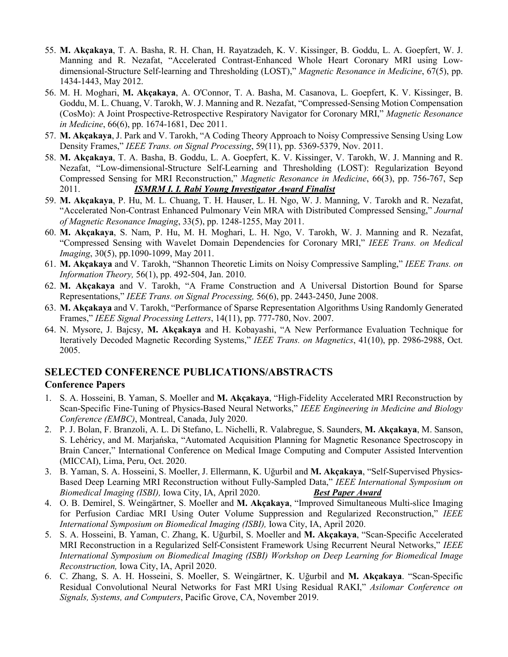- 55. **M. Akçakaya**, T. A. Basha, R. H. Chan, H. Rayatzadeh, K. V. Kissinger, B. Goddu, L. A. Goepfert, W. J. Manning and R. Nezafat, "Accelerated Contrast-Enhanced Whole Heart Coronary MRI using Lowdimensional-Structure Self-learning and Thresholding (LOST)," *Magnetic Resonance in Medicine*, 67(5), pp. 1434-1443, May 2012.
- 56. M. H. Moghari, **M. Akçakaya**, A. O'Connor, T. A. Basha, M. Casanova, L. Goepfert, K. V. Kissinger, B. Goddu, M. L. Chuang, V. Tarokh, W. J. Manning and R. Nezafat, "Compressed-Sensing Motion Compensation (CosMo): A Joint Prospective-Retrospective Respiratory Navigator for Coronary MRI," *Magnetic Resonance in Medicine*, 66(6), pp. 1674-1681, Dec 2011.
- 57. **M. Akçakaya**, J. Park and V. Tarokh, "A Coding Theory Approach to Noisy Compressive Sensing Using Low Density Frames," *IEEE Trans. on Signal Processing*, 59(11), pp. 5369-5379, Nov. 2011.
- 58. **M. Akçakaya**, T. A. Basha, B. Goddu, L. A. Goepfert, K. V. Kissinger, V. Tarokh, W. J. Manning and R. Nezafat, "Low-dimensional-Structure Self-Learning and Thresholding (LOST): Regularization Beyond Compressed Sensing for MRI Reconstruction," *Magnetic Resonance in Medicine*, 66(3), pp. 756-767, Sep 2011. *ISMRM I. I. Rabi Young Investigator Award Finalist*
- 59. **M. Akçakaya**, P. Hu, M. L. Chuang, T. H. Hauser, L. H. Ngo, W. J. Manning, V. Tarokh and R. Nezafat, "Accelerated Non-Contrast Enhanced Pulmonary Vein MRA with Distributed Compressed Sensing," *Journal of Magnetic Resonance Imaging*, 33(5), pp. 1248-1255, May 2011.
- 60. **M. Akçakaya**, S. Nam, P. Hu, M. H. Moghari, L. H. Ngo, V. Tarokh, W. J. Manning and R. Nezafat, "Compressed Sensing with Wavelet Domain Dependencies for Coronary MRI," *IEEE Trans. on Medical Imaging*, 30(5), pp.1090-1099, May 2011.
- 61. **M. Akçakaya** and V. Tarokh, "Shannon Theoretic Limits on Noisy Compressive Sampling," *IEEE Trans. on Information Theory,* 56(1), pp. 492-504, Jan. 2010.
- 62. **M. Akçakaya** and V. Tarokh, "A Frame Construction and A Universal Distortion Bound for Sparse Representations," *IEEE Trans. on Signal Processing,* 56(6), pp. 2443-2450, June 2008.
- 63. **M. Akçakaya** and V. Tarokh, "Performance of Sparse Representation Algorithms Using Randomly Generated Frames," *IEEE Signal Processing Letters*, 14(11), pp. 777-780, Nov. 2007.
- 64. N. Mysore, J. Bajcsy, **M. Akçakaya** and H. Kobayashi, "A New Performance Evaluation Technique for Iteratively Decoded Magnetic Recording Systems," *IEEE Trans. on Magnetics*, 41(10), pp. 2986-2988, Oct. 2005.

### **SELECTED CONFERENCE PUBLICATIONS/ABSTRACTS**

### **Conference Papers**

- 1. S. A. Hosseini, B. Yaman, S. Moeller and **M. Akçakaya**, "High-Fidelity Accelerated MRI Reconstruction by Scan-Specific Fine-Tuning of Physics-Based Neural Networks," *IEEE Engineering in Medicine and Biology Conference (EMBC)*, Montreal, Canada, July 2020.
- 2. P. J. Bolan, F. Branzoli, A. L. Di Stefano, L. Nichelli, R. Valabregue, S. Saunders, **M. Akçakaya**, M. Sanson, S. Lehéricy, and M. Marjańska, "Automated Acquisition Planning for Magnetic Resonance Spectroscopy in Brain Cancer," International Conference on Medical Image Computing and Computer Assisted Intervention (MICCAI), Lima, Peru, Oct. 2020.
- 3. B. Yaman, S. A. Hosseini, S. Moeller, J. Ellermann, K. Uğurbil and **M. Akçakaya**, "Self-Supervised Physics-Based Deep Learning MRI Reconstruction without Fully-Sampled Data," *IEEE International Symposium on Biomedical Imaging (ISBI),* Iowa City, IA, April 2020. *Best Paper Award*
- 4. O. B. Demirel, S. Weingärtner, S. Moeller and **M. Akçakaya**, "Improved Simultaneous Multi-slice Imaging for Perfusion Cardiac MRI Using Outer Volume Suppression and Regularized Reconstruction," *IEEE International Symposium on Biomedical Imaging (ISBI),* Iowa City, IA, April 2020.
- 5. S. A. Hosseini, B. Yaman, C. Zhang, K. Uğurbil, S. Moeller and **M. Akçakaya**, "Scan-Specific Accelerated MRI Reconstruction in a Regularized Self-Consistent Framework Using Recurrent Neural Networks," *IEEE International Symposium on Biomedical Imaging (ISBI) Workshop on Deep Learning for Biomedical Image Reconstruction,* Iowa City, IA, April 2020.
- 6. C. Zhang, S. A. H. Hosseini, S. Moeller, S. Weingärtner, K. Uğurbil and **M. Akçakaya**. "Scan-Specific Residual Convolutional Neural Networks for Fast MRI Using Residual RAKI," *Asilomar Conference on Signals, Systems, and Computers*, Pacific Grove, CA, November 2019.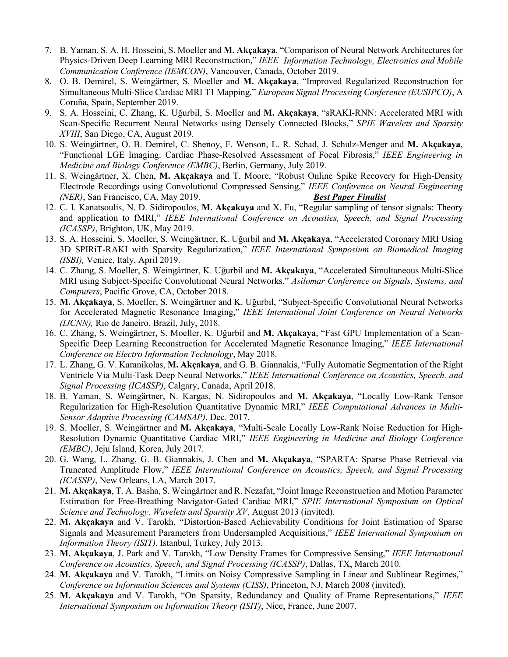- 7. B. Yaman, S. A. H. Hosseini, S. Moeller and **M. Akçakaya**. "Comparison of Neural Network Architectures for Physics-Driven Deep Learning MRI Reconstruction," *IEEE Information Technology, Electronics and Mobile Communication Conference (IEMCON)*, Vancouver, Canada, October 2019.
- 8. O. B. Demirel, S. Weingärtner, S. Moeller and **M. Akçakaya**, "Improved Regularized Reconstruction for Simultaneous Multi-Slice Cardiac MRI T1 Mapping," *European Signal Processing Conference (EUSIPCO)*, A Coruña, Spain, September 2019.
- 9. S. A. Hosseini, C. Zhang, K. Uğurbil, S. Moeller and **M. Akçakaya**, "sRAKI-RNN: Accelerated MRI with Scan-Specific Recurrent Neural Networks using Densely Connected Blocks," *SPIE Wavelets and Sparsity XVIII*, San Diego, CA, August 2019.
- 10. S. Weingärtner, O. B. Demirel, C. Shenoy, F. Wenson, L. R. Schad, J. Schulz-Menger and **M. Akçakaya**, "Functional LGE Imaging: Cardiac Phase-Resolved Assessment of Focal Fibrosis," *IEEE Engineering in Medicine and Biology Conference (EMBC)*, Berlin, Germany, July 2019.
- 11. S. Weingärtner, X. Chen, **M. Akçakaya** and T. Moore, "Robust Online Spike Recovery for High-Density Electrode Recordings using Convolutional Compressed Sensing," *IEEE Conference on Neural Engineering (NER)*, San Francisco, CA, May 2019. *Best Paper Finalist*
- 12. C. I. Kanatsoulis, N. D. Sidiropoulos, **M. Akçakaya** and X. Fu, "Regular sampling of tensor signals: Theory and application to fMRI," *IEEE International Conference on Acoustics, Speech, and Signal Processing (ICASSP)*, Brighton, UK, May 2019.
- 13. S. A. Hosseini, S. Moeller, S. Weingärtner, K. Uğurbil and **M. Akçakaya**, "Accelerated Coronary MRI Using 3D SPIRiT-RAKI with Sparsity Regularization," *IEEE International Symposium on Biomedical Imaging (ISBI),* Venice, Italy, April 2019.
- 14. C. Zhang, S. Moeller, S. Weingärtner, K. Uğurbil and **M. Akçakaya**, "Accelerated Simultaneous Multi-Slice MRI using Subject-Specific Convolutional Neural Networks," *Asilomar Conference on Signals, Systems, and Computers*, Pacific Grove, CA, October 2018.
- 15. **M. Akçakaya**, S. Moeller, S. Weingärtner and K. Uğurbil, "Subject-Specific Convolutional Neural Networks for Accelerated Magnetic Resonance Imaging," *IEEE International Joint Conference on Neural Networks (IJCNN),* Rio de Janeiro, Brazil, July, 2018.
- 16. C. Zhang, S. Weingärtner, S. Moeller, K. Uğurbil and **M. Akçakaya**, "Fast GPU Implementation of a Scan-Specific Deep Learning Reconstruction for Accelerated Magnetic Resonance Imaging," *IEEE International Conference on Electro Information Technology*, May 2018.
- 17. L. Zhang, G. V. Karanikolas, **M. Akçakaya**, and G. B. Giannakis, "Fully Automatic Segmentation of the Right Ventricle Via Multi-Task Deep Neural Networks," *IEEE International Conference on Acoustics, Speech, and Signal Processing (ICASSP)*, Calgary, Canada, April 2018.
- 18. B. Yaman, S. Weingärtner, N. Kargas, N. Sidiropoulos and **M. Akçakaya**, "Locally Low-Rank Tensor Regularization for High-Resolution Quantitative Dynamic MRI," *IEEE Computational Advances in Multi-Sensor Adaptive Processing (CAMSAP)*, Dec. 2017.
- 19. S. Moeller, S. Weingärtner and **M. Akçakaya**, "Multi-Scale Locally Low-Rank Noise Reduction for High-Resolution Dynamic Quantitative Cardiac MRI," *IEEE Engineering in Medicine and Biology Conference (EMBC)*, Jeju Island, Korea, July 2017.
- 20. G. Wang, L. Zhang, G. B. Giannakis, J. Chen and **M. Akçakaya**, "SPARTA: Sparse Phase Retrieval via Truncated Amplitude Flow," *IEEE International Conference on Acoustics, Speech, and Signal Processing (ICASSP)*, New Orleans, LA, March 2017.
- 21. **M. Akçakaya**, T. A. Basha, S. Weingärtner and R. Nezafat, "Joint Image Reconstruction and Motion Parameter Estimation for Free-Breathing Navigator-Gated Cardiac MRI," *SPIE International Symposium on Optical Science and Technology, Wavelets and Sparsity XV*, August 2013 (invited).
- 22. **M. Akçakaya** and V. Tarokh, "Distortion-Based Achievability Conditions for Joint Estimation of Sparse Signals and Measurement Parameters from Undersampled Acquisitions," *IEEE International Symposium on Information Theory (ISIT)*, Istanbul, Turkey, July 2013.
- 23. **M. Akçakaya**, J. Park and V. Tarokh, "Low Density Frames for Compressive Sensing," *IEEE International Conference on Acoustics, Speech, and Signal Processing (ICASSP)*, Dallas, TX, March 2010.
- 24. **M. Akçakaya** and V. Tarokh, "Limits on Noisy Compressive Sampling in Linear and Sublinear Regimes," *Conference on Information Sciences and Systems (CISS)*, Princeton, NJ, March 2008 (invited).
- 25. **M. Akçakaya** and V. Tarokh, "On Sparsity, Redundancy and Quality of Frame Representations," *IEEE International Symposium on Information Theory (ISIT)*, Nice, France, June 2007.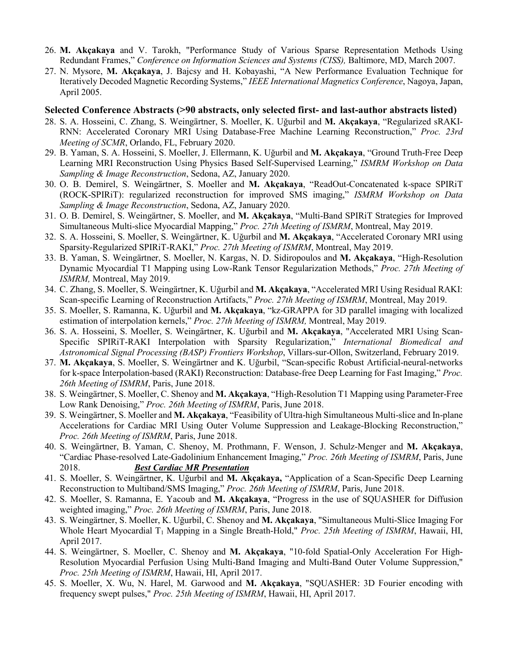- 26. **M. Akçakaya** and V. Tarokh, "Performance Study of Various Sparse Representation Methods Using Redundant Frames," *Conference on Information Sciences and Systems (CISS),* Baltimore, MD, March 2007.
- 27. N. Mysore, **M. Akçakaya**, J. Bajcsy and H. Kobayashi, "A New Performance Evaluation Technique for Iteratively Decoded Magnetic Recording Systems," *IEEE International Magnetics Conference*, Nagoya, Japan, April 2005.

#### **Selected Conference Abstracts (>90 abstracts, only selected first- and last-author abstracts listed)**

- 28. S. A. Hosseini, C. Zhang, S. Weingärtner, S. Moeller, K. Uğurbil and **M. Akçakaya**, "Regularized sRAKI-RNN: Accelerated Coronary MRI Using Database-Free Machine Learning Reconstruction," *Proc. 23rd Meeting of SCMR*, Orlando, FL, February 2020.
- 29. B. Yaman, S. A. Hosseini, S. Moeller, J. Ellermann, K. Uğurbil and **M. Akçakaya**, "Ground Truth-Free Deep Learning MRI Reconstruction Using Physics Based Self-Supervised Learning," *ISMRM Workshop on Data Sampling & Image Reconstruction*, Sedona, AZ, January 2020.
- 30. O. B. Demirel, S. Weingärtner, S. Moeller and **M. Akçakaya**, "ReadOut-Concatenated k-space SPIRiT (ROCK-SPIRiT): regularized reconstruction for improved SMS imaging," *ISMRM Workshop on Data Sampling & Image Reconstruction*, Sedona, AZ, January 2020.
- 31. O. B. Demirel, S. Weingärtner, S. Moeller, and **M. Akçakaya**, "Multi-Band SPIRiT Strategies for Improved Simultaneous Multi-slice Myocardial Mapping," *Proc. 27th Meeting of ISMRM*, Montreal, May 2019.
- 32. S. A. Hosseini, S. Moeller, S. Weingärtner, K. Uğurbil and **M. Akçakaya**, "Accelerated Coronary MRI using Sparsity-Regularized SPIRiT-RAKI," *Proc. 27th Meeting of ISMRM*, Montreal, May 2019.
- 33. B. Yaman, S. Weingärtner, S. Moeller, N. Kargas, N. D. Sidiropoulos and **M. Akçakaya**, "High-Resolution Dynamic Myocardial T1 Mapping using Low-Rank Tensor Regularization Methods," *Proc. 27th Meeting of ISMRM,* Montreal, May 2019.
- 34. C. Zhang, S. Moeller, S. Weingärtner, K. Uğurbil and **M. Akçakaya**, "Accelerated MRI Using Residual RAKI: Scan-specific Learning of Reconstruction Artifacts," *Proc. 27th Meeting of ISMRM*, Montreal, May 2019.
- 35. S. Moeller, S. Ramanna, K. Uğurbil and **M. Akçakaya**, "kz-GRAPPA for 3D parallel imaging with localized estimation of interpolation kernels," *Proc. 27th Meeting of ISMRM,* Montreal, May 2019.
- 36. S. A. Hosseini, S. Moeller, S. Weingärtner, K. Uğurbil and **M. Akçakaya**, "Accelerated MRI Using Scan-Specific SPIRiT-RAKI Interpolation with Sparsity Regularization," *International Biomedical and Astronomical Signal Processing (BASP) Frontiers Workshop*, Villars-sur-Ollon, Switzerland, February 2019.
- 37. **M. Akçakaya**, S. Moeller, S. Weingärtner and K. Uğurbil, "Scan-specific Robust Artificial-neural-networks for k-space Interpolation-based (RAKI) Reconstruction: Database-free Deep Learning for Fast Imaging," *Proc. 26th Meeting of ISMRM*, Paris, June 2018.
- 38. S. Weingärtner, S. Moeller, C. Shenoy and **M. Akçakaya**, "High-Resolution T1 Mapping using Parameter-Free Low Rank Denoising," *Proc. 26th Meeting of ISMRM*, Paris, June 2018.
- 39. S. Weingärtner, S. Moeller and **M. Akçakaya**, "Feasibility of Ultra-high Simultaneous Multi-slice and In-plane Accelerations for Cardiac MRI Using Outer Volume Suppression and Leakage-Blocking Reconstruction," *Proc. 26th Meeting of ISMRM*, Paris, June 2018.
- 40. S. Weingärtner, B. Yaman, C. Shenoy, M. Prothmann, F. Wenson, J. Schulz-Menger and **M. Akçakaya**, "Cardiac Phase-resolved Late-Gadolinium Enhancement Imaging," *Proc. 26th Meeting of ISMRM*, Paris, June 2018. *Best Cardiac MR Presentation*
- 41. S. Moeller, S. Weingärtner, K. Uğurbil and **M. Akçakaya,** "Application of a Scan-Specific Deep Learning Reconstruction to Multiband/SMS Imaging," *Proc. 26th Meeting of ISMRM*, Paris, June 2018.
- 42. S. Moeller, S. Ramanna, E. Yacoub and **M. Akçakaya**, "Progress in the use of SQUASHER for Diffusion weighted imaging," *Proc. 26th Meeting of ISMRM*, Paris, June 2018.
- 43. S. Weingärtner, S. Moeller, K. Uğurbil, C. Shenoy and **M. Akçakaya**, "Simultaneous Multi-Slice Imaging For Whole Heart Myocardial T1 Mapping in a Single Breath-Hold," *Proc. 25th Meeting of ISMRM*, Hawaii, HI, April 2017.
- 44. S. Weingärtner, S. Moeller, C. Shenoy and **M. Akçakaya**, "10-fold Spatial-Only Acceleration For High-Resolution Myocardial Perfusion Using Multi-Band Imaging and Multi-Band Outer Volume Suppression," *Proc. 25th Meeting of ISMRM*, Hawaii, HI, April 2017.
- 45. S. Moeller, X. Wu, N. Harel, M. Garwood and **M. Akçakaya**, "SQUASHER: 3D Fourier encoding with frequency swept pulses," *Proc. 25th Meeting of ISMRM*, Hawaii, HI, April 2017.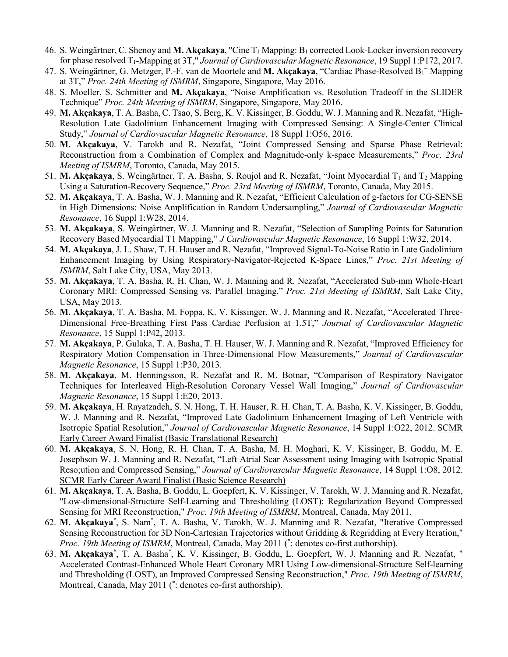- 46. S. Weingärtner, C. Shenoy and M. Akçakaya, "Cine T<sub>1</sub> Mapping: B<sub>1</sub> corrected Look-Locker inversion recovery for phase resolved T1-Mapping at 3T," *Journal of Cardiovascular Magnetic Resonance*, 19 Suppl 1:P172, 2017.
- 47. S. Weingärtner, G. Metzger, P.-F. van de Moortele and M. Akçakaya, "Cardiac Phase-Resolved B<sub>1</sub>+ Mapping at 3T," *Proc. 24th Meeting of ISMRM*, Singapore, Singapore, May 2016.
- 48. S. Moeller, S. Schmitter and **M. Akçakaya**, "Noise Amplification vs. Resolution Tradeoff in the SLIDER Technique" *Proc. 24th Meeting of ISMRM*, Singapore, Singapore, May 2016.
- 49. **M. Akçakaya**, T. A. Basha, C. Tsao, S. Berg, K. V. Kissinger, B. Goddu, W. J. Manning and R. Nezafat, "High-Resolution Late Gadolinium Enhancement Imaging with Compressed Sensing: A Single-Center Clinical Study," *Journal of Cardiovascular Magnetic Resonance*, 18 Suppl 1:O56, 2016.
- 50. **M. Akçakaya**, V. Tarokh and R. Nezafat, "Joint Compressed Sensing and Sparse Phase Retrieval: Reconstruction from a Combination of Complex and Magnitude-only k-space Measurements," *Proc. 23rd Meeting of ISMRM*, Toronto, Canada, May 2015.
- 51. M. Akçakaya, S. Weingärtner, T. A. Basha, S. Roujol and R. Nezafat, "Joint Myocardial T<sub>1</sub> and T<sub>2</sub> Mapping Using a Saturation-Recovery Sequence," *Proc. 23rd Meeting of ISMRM*, Toronto, Canada, May 2015.
- 52. **M. Akçakaya**, T. A. Basha, W. J. Manning and R. Nezafat, "Efficient Calculation of g-factors for CG-SENSE in High Dimensions: Noise Amplification in Random Undersampling," *Journal of Cardiovascular Magnetic Resonance*, 16 Suppl 1:W28, 2014.
- 53. **M. Akçakaya**, S. Weingärtner, W. J. Manning and R. Nezafat, "Selection of Sampling Points for Saturation Recovery Based Myocardial T1 Mapping," *J Cardiovascular Magnetic Resonance*, 16 Suppl 1:W32, 2014.
- 54. **M. Akçakaya**, J. L. Shaw, T. H. Hauser and R. Nezafat, "Improved Signal-To-Noise Ratio in Late Gadolinium Enhancement Imaging by Using Respiratory-Navigator-Rejected K-Space Lines," *Proc. 21st Meeting of ISMRM*, Salt Lake City, USA, May 2013.
- 55. **M. Akçakaya**, T. A. Basha, R. H. Chan, W. J. Manning and R. Nezafat, "Accelerated Sub-mm Whole-Heart Coronary MRI: Compressed Sensing vs. Parallel Imaging," *Proc. 21st Meeting of ISMRM*, Salt Lake City, USA, May 2013.
- 56. **M. Akçakaya**, T. A. Basha, M. Foppa, K. V. Kissinger, W. J. Manning and R. Nezafat, "Accelerated Three-Dimensional Free-Breathing First Pass Cardiac Perfusion at 1.5T," *Journal of Cardiovascular Magnetic Resonance*, 15 Suppl 1:P42, 2013.
- 57. **M. Akçakaya**, P. Gulaka, T. A. Basha, T. H. Hauser, W. J. Manning and R. Nezafat, "Improved Efficiency for Respiratory Motion Compensation in Three-Dimensional Flow Measurements," *Journal of Cardiovascular Magnetic Resonance*, 15 Suppl 1:P30, 2013.
- 58. **M. Akçakaya**, M. Henningsson, R. Nezafat and R. M. Botnar, "Comparison of Respiratory Navigator Techniques for Interleaved High-Resolution Coronary Vessel Wall Imaging," *Journal of Cardiovascular Magnetic Resonance*, 15 Suppl 1:E20, 2013.
- 59. **M. Akçakaya**, H. Rayatzadeh, S. N. Hong, T. H. Hauser, R. H. Chan, T. A. Basha, K. V. Kissinger, B. Goddu, W. J. Manning and R. Nezafat, "Improved Late Gadolinium Enhancement Imaging of Left Ventricle with Isotropic Spatial Resolution," *Journal of Cardiovascular Magnetic Resonance*, 14 Suppl 1:O22, 2012. SCMR Early Career Award Finalist (Basic Translational Research)
- 60. **M. Akçakaya**, S. N. Hong, R. H. Chan, T. A. Basha, M. H. Moghari, K. V. Kissinger, B. Goddu, M. E. Josephson W. J. Manning and R. Nezafat, "Left Atrial Scar Assessment using Imaging with Isotropic Spatial Reso;ution and Compressed Sensing," *Journal of Cardiovascular Magnetic Resonance*, 14 Suppl 1:O8, 2012. SCMR Early Career Award Finalist (Basic Science Research)
- 61. **M. Akçakaya**, T. A. Basha, B. Goddu, L. Goepfert, K. V. Kissinger, V. Tarokh, W. J. Manning and R. Nezafat, "Low-dimensional-Structure Self-Learning and Thresholding (LOST): Regularization Beyond Compressed Sensing for MRI Reconstruction," *Proc. 19th Meeting of ISMRM*, Montreal, Canada, May 2011.
- 62. M. Akçakaya\*, S. Nam<sup>\*</sup>, T. A. Basha, V. Tarokh, W. J. Manning and R. Nezafat, "Iterative Compressed Sensing Reconstruction for 3D Non-Cartesian Trajectories without Gridding & Regridding at Every Iteration," *Proc. 19th Meeting of ISMRM*, Montreal, Canada, May 2011 ( \* : denotes co-first authorship).
- 63. M. Akçakaya\*, T. A. Basha\*, K. V. Kissinger, B. Goddu, L. Goepfert, W. J. Manning and R. Nezafat, " Accelerated Contrast-Enhanced Whole Heart Coronary MRI Using Low-dimensional-Structure Self-learning and Thresholding (LOST), an Improved Compressed Sensing Reconstruction," *Proc. 19th Meeting of ISMRM*, Montreal, Canada, May 2011 ( \* : denotes co-first authorship).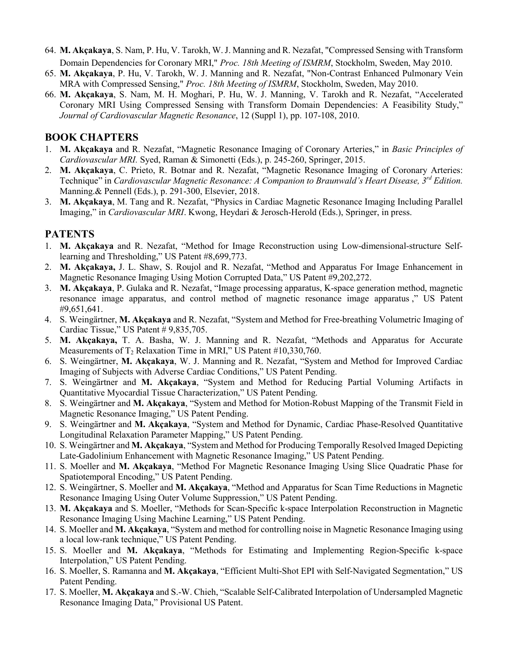- 64. **M. Akçakaya**, S. Nam, P. Hu, V. Tarokh, W. J. Manning and R. Nezafat, "Compressed Sensing with Transform Domain Dependencies for Coronary MRI," *Proc. 18th Meeting of ISMRM*, Stockholm, Sweden, May 2010..
- 65. **M. Akçakaya**, P. Hu, V. Tarokh, W. J. Manning and R. Nezafat, "Non-Contrast Enhanced Pulmonary Vein MRA with Compressed Sensing," *Proc. 18th Meeting of ISMRM*, Stockholm, Sweden, May 2010.
- 66. **M. Akçakaya**, S. Nam, M. H. Moghari, P. Hu, W. J. Manning, V. Tarokh and R. Nezafat, "Accelerated Coronary MRI Using Compressed Sensing with Transform Domain Dependencies: A Feasibility Study," *Journal of Cardiovascular Magnetic Resonance*, 12 (Suppl 1), pp. 107-108, 2010.

# **BOOK CHAPTERS**

- 1. **M. Akçakaya** and R. Nezafat, "Magnetic Resonance Imaging of Coronary Arteries," in *Basic Principles of Cardiovascular MRI.* Syed, Raman & Simonetti (Eds.), p. 245-260, Springer, 2015.
- 2. **M. Akçakaya**, C. Prieto, R. Botnar and R. Nezafat, "Magnetic Resonance Imaging of Coronary Arteries: Technique" in *Cardiovascular Magnetic Resonance: A Companion to Braunwald's Heart Disease, 3rd Edition.* Manning.& Pennell (Eds.), p. 291-300, Elsevier, 2018.
- 3. **M. Akçakaya**, M. Tang and R. Nezafat, "Physics in Cardiac Magnetic Resonance Imaging Including Parallel Imaging," in *Cardiovascular MRI*. Kwong, Heydari & Jerosch-Herold (Eds.), Springer, in press.

# **PATENTS**

- 1. **M. Akçakaya** and R. Nezafat, "Method for Image Reconstruction using Low-dimensional-structure Selflearning and Thresholding," US Patent #8,699,773.
- 2. **M. Akçakaya,** J. L. Shaw, S. Roujol and R. Nezafat, "Method and Apparatus For Image Enhancement in Magnetic Resonance Imaging Using Motion Corrupted Data," US Patent #9,202,272.
- 3. **M. Akçakaya**, P. Gulaka and R. Nezafat, "Image processing apparatus, K-space generation method, magnetic resonance image apparatus, and control method of magnetic resonance image apparatus ," US Patent #9,651,641.
- 4. S. Weingärtner, **M. Akçakaya** and R. Nezafat, "System and Method for Free-breathing Volumetric Imaging of Cardiac Tissue," US Patent # 9,835,705.
- 5. **M. Akçakaya,** T. A. Basha, W. J. Manning and R. Nezafat, "Methods and Apparatus for Accurate Measurements of  $T_2$  Relaxation Time in MRI," US Patent #10,330,760.
- 6. S. Weingärtner, **M. Akçakaya**, W. J. Manning and R. Nezafat, "System and Method for Improved Cardiac Imaging of Subjects with Adverse Cardiac Conditions," US Patent Pending.
- 7. S. Weingärtner and **M. Akçakaya**, "System and Method for Reducing Partial Voluming Artifacts in Quantitative Myocardial Tissue Characterization," US Patent Pending.
- 8. S. Weingärtner and **M. Akçakaya**, "System and Method for Motion-Robust Mapping of the Transmit Field in Magnetic Resonance Imaging," US Patent Pending.
- 9. S. Weingärtner and **M. Akçakaya**, "System and Method for Dynamic, Cardiac Phase-Resolved Quantitative Longitudinal Relaxation Parameter Mapping," US Patent Pending.
- 10. S. Weingärtner and **M. Akçakaya**, "System and Method for Producing Temporally Resolved Imaged Depicting Late-Gadolinium Enhancement with Magnetic Resonance Imaging," US Patent Pending.
- 11. S. Moeller and **M. Akçakaya**, "Method For Magnetic Resonance Imaging Using Slice Quadratic Phase for Spatiotemporal Encoding," US Patent Pending.
- 12. S. Weingärtner, S. Moeller and **M. Akçakaya**, "Method and Apparatus for Scan Time Reductions in Magnetic Resonance Imaging Using Outer Volume Suppression," US Patent Pending.
- 13. **M. Akçakaya** and S. Moeller, "Methods for Scan-Specific k-space Interpolation Reconstruction in Magnetic Resonance Imaging Using Machine Learning," US Patent Pending.
- 14. S. Moeller and **M. Akçakaya**, "System and method for controlling noise in Magnetic Resonance Imaging using a local low-rank technique," US Patent Pending.
- 15. S. Moeller and **M. Akçakaya**, "Methods for Estimating and Implementing Region-Specific k-space Interpolation," US Patent Pending.
- 16. S. Moeller, S. Ramanna and **M. Akçakaya**, "Efficient Multi-Shot EPI with Self-Navigated Segmentation," US Patent Pending.
- 17. S. Moeller, **M. Akçakaya** and S.-W. Chieh, "Scalable Self-Calibrated Interpolation of Undersampled Magnetic Resonance Imaging Data," Provisional US Patent.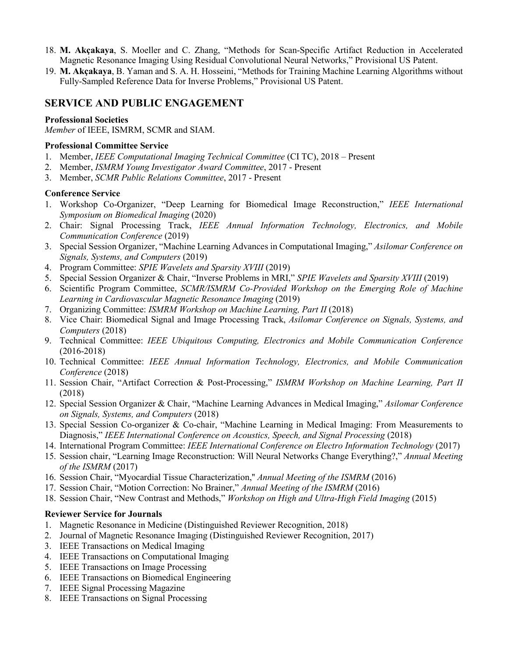- 18. **M. Akçakaya**, S. Moeller and C. Zhang, "Methods for Scan-Specific Artifact Reduction in Accelerated Magnetic Resonance Imaging Using Residual Convolutional Neural Networks," Provisional US Patent.
- 19. **M. Akçakaya**, B. Yaman and S. A. H. Hosseini, "Methods for Training Machine Learning Algorithms without Fully-Sampled Reference Data for Inverse Problems," Provisional US Patent.

### **SERVICE AND PUBLIC ENGAGEMENT**

#### **Professional Societies**

*Member* of IEEE, ISMRM, SCMR and SIAM.

#### **Professional Committee Service**

- 1. Member, *IEEE Computational Imaging Technical Committee* (CI TC), 2018 Present
- 2. Member, *ISMRM Young Investigator Award Committee*, 2017 Present
- 3. Member, *SCMR Public Relations Committee*, 2017 Present

#### **Conference Service**

- 1. Workshop Co-Organizer, "Deep Learning for Biomedical Image Reconstruction," *IEEE International Symposium on Biomedical Imaging* (2020)
- 2. Chair: Signal Processing Track, *IEEE Annual Information Technology, Electronics, and Mobile Communication Conference* (2019)
- 3. Special Session Organizer, "Machine Learning Advances in Computational Imaging," *Asilomar Conference on Signals, Systems, and Computers* (2019)
- 4. Program Committee: *SPIE Wavelets and Sparsity XVIII* (2019)
- 5. Special Session Organizer & Chair, "Inverse Problems in MRI," *SPIE Wavelets and Sparsity XVIII* (2019)
- 6. Scientific Program Committee, *SCMR/ISMRM Co-Provided Workshop on the Emerging Role of Machine Learning in Cardiovascular Magnetic Resonance Imaging* (2019)
- 7. Organizing Committee: *ISMRM Workshop on Machine Learning, Part II* (2018)
- 8. Vice Chair: Biomedical Signal and Image Processing Track, *Asilomar Conference on Signals, Systems, and Computers* (2018)
- 9. Technical Committee: *IEEE Ubiquitous Computing, Electronics and Mobile Communication Conference* (2016-2018)
- 10. Technical Committee: *IEEE Annual Information Technology, Electronics, and Mobile Communication Conference* (2018)
- 11. Session Chair, "Artifact Correction & Post-Processing," *ISMRM Workshop on Machine Learning, Part II* (2018)
- 12. Special Session Organizer & Chair, "Machine Learning Advances in Medical Imaging," *Asilomar Conference on Signals, Systems, and Computers* (2018)
- 13. Special Session Co-organizer & Co-chair, "Machine Learning in Medical Imaging: From Measurements to Diagnosis," *IEEE International Conference on Acoustics, Speech, and Signal Processing* (2018)
- 14. International Program Committee: *IEEE International Conference on Electro Information Technology* (2017)
- 15. Session chair, "Learning Image Reconstruction: Will Neural Networks Change Everything?," *Annual Meeting of the ISMRM* (2017)
- 16. Session Chair, "Myocardial Tissue Characterization,'' *Annual Meeting of the ISMRM* (2016)
- 17. Session Chair, "Motion Correction: No Brainer," *Annual Meeting of the ISMRM* (2016)
- 18. Session Chair, "New Contrast and Methods," *Workshop on High and Ultra-High Field Imaging* (2015)

#### **Reviewer Service for Journals**

- 1. Magnetic Resonance in Medicine (Distinguished Reviewer Recognition, 2018)
- 2. Journal of Magnetic Resonance Imaging (Distinguished Reviewer Recognition, 2017)
- 3. IEEE Transactions on Medical Imaging
- 4. IEEE Transactions on Computational Imaging
- 5. IEEE Transactions on Image Processing
- 6. IEEE Transactions on Biomedical Engineering
- 7. IEEE Signal Processing Magazine
- 8. IEEE Transactions on Signal Processing